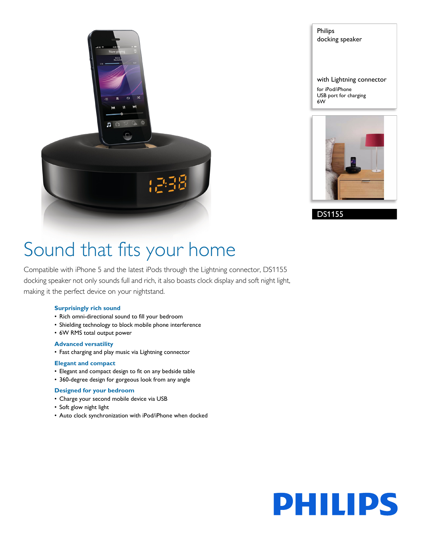

Philips docking speaker with Lightning connector for iPod/iPhone

USB port for charging

6W



DS1155

# Sound that fits your home

Compatible with iPhone 5 and the latest iPods through the Lightning connector, DS1155 docking speaker not only sounds full and rich, it also boasts clock display and soft night light, making it the perfect device on your nightstand.

#### **Surprisingly rich sound**

- Rich omni-directional sound to fill your bedroom
- Shielding technology to block mobile phone interference
- 6W RMS total output power

#### **Advanced versatility**

• Fast charging and play music via Lightning connector

#### **Elegant and compact**

- Elegant and compact design to fit on any bedside table
- 360-degree design for gorgeous look from any angle

#### **Designed for your bedroom**

- Charge your second mobile device via USB
- Soft glow night light
- Auto clock synchronization with iPod/iPhone when docked